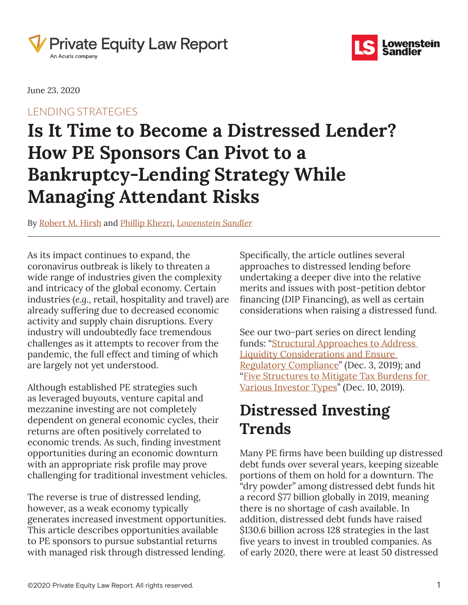



June 23. 2020

### LENDING STRATEGIES

# **Is It Time to Become a Distressed Lender? How PE Sponsors Can Pivot to a Bankruptcy‑Lending Strategy While Managing Attendant Risks**

By [Robert M. Hirsh](https://www.pelawreport.com/search/?tagType=People&tagName=Robert+M.+Hirsh&tagID=124691) and [Phillip Khezri,](https://www.pelawreport.com/search/?tagType=People&tagName=Phillip+Khezri&tagID=124696) *[Lowenstein Sandler](https://www.pelawreport.com/search/?tagType=Entities&tagName=Lowenstein+Sandler&tagID=84371)*

As its impact continues to expand, the coronavirus outbreak is likely to threaten a wide range of industries given the complexity and intricacy of the global economy. Certain industries (*e.g.*, retail, hospitality and travel) are already suffering due to decreased economic activity and supply chain disruptions. Every industry will undoubtedly face tremendous challenges as it attempts to recover from the pandemic, the full effect and timing of which are largely not yet understood.

Although established PE strategies such as leveraged buyouts, venture capital and mezzanine investing are not completely dependent on general economic cycles, their returns are often positively correlated to economic trends. As such, finding investment opportunities during an economic downturn with an appropriate risk profile may prove challenging for traditional investment vehicles.

The reverse is true of distressed lending, however, as a weak economy typically generates increased investment opportunities. This article describes opportunities available to PE sponsors to pursue substantial returns with managed risk through distressed lending.

Specifically, the article outlines several approaches to distressed lending before undertaking a deeper dive into the relative merits and issues with post-petition debtor financing (DIP Financing), as well as certain considerations when raising a distressed fund.

See our two-part series on direct lending funds: "Structural Approaches to Address [Liquidity Considerations and Ensure](https://www.pelawreport.com/4179617/direct-lending-funds-structural-approaches-to-address-liquidity-considerations-and-ensure-regulatory-compliance-part-one-of-two.thtml)  [Regulatory Compliance](https://www.pelawreport.com/4179617/direct-lending-funds-structural-approaches-to-address-liquidity-considerations-and-ensure-regulatory-compliance-part-one-of-two.thtml)" (Dec. 3, 2019); and "[Five Structures to Mitigate Tax Burdens for](https://www.pelawreport.com/4194252/direct-lending-funds-five-structures-to-mitigate-tax-burdens-for-various-investor-types-part-two-of-two.thtml)  [Various Investor Types](https://www.pelawreport.com/4194252/direct-lending-funds-five-structures-to-mitigate-tax-burdens-for-various-investor-types-part-two-of-two.thtml)" (Dec. 10, 2019).

# **Distressed Investing Trends**

Many PE firms have been building up distressed debt funds over several years, keeping sizeable portions of them on hold for a downturn. The "dry powder" among distressed debt funds hit a record \$77 billion globally in 2019, meaning there is no shortage of cash available. In addition, distressed debt funds have raised \$130.6 billion across 128 strategies in the last five years to invest in troubled companies. As of early 2020, there were at least 50 distressed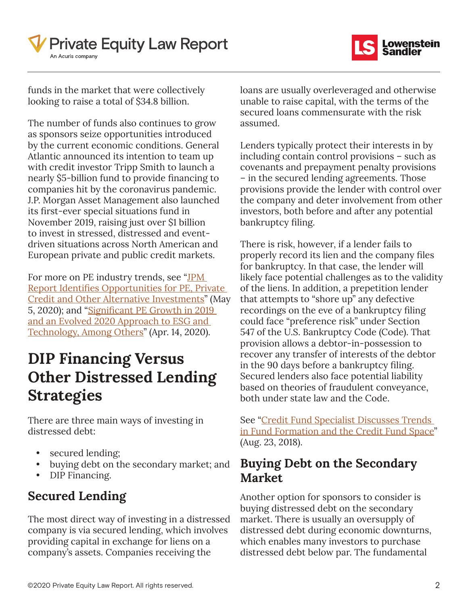



funds in the market that were collectively looking to raise a total of \$34.8 billion.

The number of funds also continues to grow as sponsors seize opportunities introduced by the current economic conditions. General Atlantic announced its intention to team up with credit investor Tripp Smith to launch a nearly \$5‑billion fund to provide financing to companies hit by the coronavirus pandemic. J.P. Morgan Asset Management also launched its first-ever special situations fund in November 2019, raising just over \$1 billion to invest in stressed, distressed and eventdriven situations across North American and European private and public credit markets.

For more on PE industry trends, see "JPM [Report Identifies Opportunities for PE, Private](https://www.pelawreport.com/6730441/jpm-report-identifies-opportunities-for-pe-private-credit-and-other-alternative-investments.thtml)  [Credit and Other Alternative Investments](https://www.pelawreport.com/6730441/jpm-report-identifies-opportunities-for-pe-private-credit-and-other-alternative-investments.thtml)" (May 5, 2020); and "**Significant PE Growth in 2019** [and an Evolved 2020 Approach to ESG and](https://www.pelawreport.com/6620121/significant-pe-growth-in-2019-and-an-evolved-2020-approach-to-esg-and-technology-among-others.thtml)  [Technology, Among Others"](https://www.pelawreport.com/6620121/significant-pe-growth-in-2019-and-an-evolved-2020-approach-to-esg-and-technology-among-others.thtml) (Apr. 14, 2020).

# **DIP Financing Versus Other Distressed Lending Strategies**

There are three main ways of investing in distressed debt:

- secured lending;
- buying debt on the secondary market; and
- DIP Financing.

### **Secured Lending**

The most direct way of investing in a distressed company is via secured lending, which involves providing capital in exchange for liens on a company's assets. Companies receiving the

loans are usually overleveraged and otherwise unable to raise capital, with the terms of the secured loans commensurate with the risk assumed.

Lenders typically protect their interests in by including contain control provisions – such as covenants and prepayment penalty provisions – in the secured lending agreements. Those provisions provide the lender with control over the company and deter involvement from other investors, both before and after any potential bankruptcy filing.

There is risk, however, if a lender fails to properly record its lien and the company files for bankruptcy. In that case, the lender will likely face potential challenges as to the validity of the liens. In addition, a prepetition lender that attempts to "shore up" any defective recordings on the eve of a bankruptcy filing could face "preference risk" under Section 547 of the U.S. Bankruptcy Code (Code). That provision allows a debtor-in-possession to recover any transfer of interests of the debtor in the 90 days before a bankruptcy filing. Secured lenders also face potential liability based on theories of fraudulent conveyance, both under state law and the Code.

See "[Credit Fund Specialist Discusses Trends](https://www.pelawreport.com/2677361/credit-fund-specialist-discusses-trends-in-fund-formation-and-the-credit-fund-space.thtml)  [in Fund Formation and the Credit Fund Space](https://www.pelawreport.com/2677361/credit-fund-specialist-discusses-trends-in-fund-formation-and-the-credit-fund-space.thtml)" (Aug. 23, 2018).

### **Buying Debt on the Secondary Market**

Another option for sponsors to consider is buying distressed debt on the secondary market. There is usually an oversupply of distressed debt during economic downturns, which enables many investors to purchase distressed debt below par. The fundamental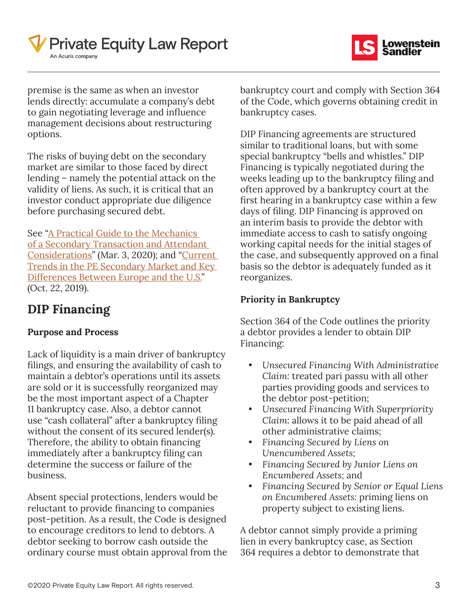



premise is the same as when an investor lends directly: accumulate a company's debt to gain negotiating leverage and influence management decisions about restructuring options.

The risks of buying debt on the secondary market are similar to those faced by direct lending – namely the potential attack on the validity of liens. As such, it is critical that an investor conduct appropriate due diligence before purchasing secured debt.

See ["A Practical Guide to the Mechanics](https://www.pelawreport.com/6167726/a-practical-guide-to-the-mechanics-of-a-secondary-transaction-and-attendant-considerations.thtml)  [of a Secondary Transaction and Attendant](https://www.pelawreport.com/6167726/a-practical-guide-to-the-mechanics-of-a-secondary-transaction-and-attendant-considerations.thtml)  [Considerations](https://www.pelawreport.com/6167726/a-practical-guide-to-the-mechanics-of-a-secondary-transaction-and-attendant-considerations.thtml)" (Mar. 3, 2020); and "[Current](https://www.pelawreport.com/4104321/current-trends-in-the-pe-secondary-market-and-key-differences-between-europe-and-the-u-s-.thtml)  [Trends in the PE Secondary Market and Key](https://www.pelawreport.com/4104321/current-trends-in-the-pe-secondary-market-and-key-differences-between-europe-and-the-u-s-.thtml)  [Differences Between Europe and the U.S.](https://www.pelawreport.com/4104321/current-trends-in-the-pe-secondary-market-and-key-differences-between-europe-and-the-u-s-.thtml)" (Oct. 22, 2019).

### **DIP Financing**

#### **Purpose and Process**

Lack of liquidity is a main driver of bankruptcy filings, and ensuring the availability of cash to maintain a debtor's operations until its assets are sold or it is successfully reorganized may be the most important aspect of a Chapter 11 bankruptcy case. Also, a debtor cannot use "cash collateral" after a bankruptcy filing without the consent of its secured lender(s). Therefore, the ability to obtain financing immediately after a bankruptcy filing can determine the success or failure of the business.

Absent special protections, lenders would be reluctant to provide financing to companies post-petition. As a result, the Code is designed to encourage creditors to lend to debtors. A debtor seeking to borrow cash outside the ordinary course must obtain approval from the bankruptcy court and comply with Section 364 of the Code, which governs obtaining credit in bankruptcy cases.

DIP Financing agreements are structured similar to traditional loans, but with some special bankruptcy "bells and whistles." DIP Financing is typically negotiated during the weeks leading up to the bankruptcy filing and often approved by a bankruptcy court at the first hearing in a bankruptcy case within a few days of filing. DIP Financing is approved on an interim basis to provide the debtor with immediate access to cash to satisfy ongoing working capital needs for the initial stages of the case, and subsequently approved on a final basis so the debtor is adequately funded as it reorganizes.

### **Priority in Bankruptcy**

Section 364 of the Code outlines the priority a debtor provides a lender to obtain DIP Financing:

- *• Unsecured Financing With Administrative Claim:* treated pari passu with all other parties providing goods and services to the debtor post-petition;
- *• Unsecured Financing With Superpriority Claim:* allows it to be paid ahead of all other administrative claims;
- *• Financing Secured by Liens on Unencumbered Assets;*
- *• Financing Secured by Junior Liens on Encumbered Assets;* and
- *• Financing Secured by Senior or Equal Liens on Encumbered Assets:* priming liens on property subject to existing liens.

A debtor cannot simply provide a priming lien in every bankruptcy case, as Section 364 requires a debtor to demonstrate that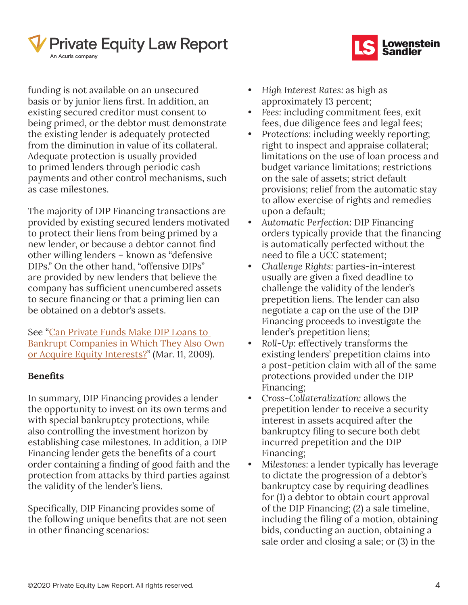



funding is not available on an unsecured basis or by junior liens first. In addition, an existing secured creditor must consent to being primed, or the debtor must demonstrate the existing lender is adequately protected from the diminution in value of its collateral. Adequate protection is usually provided to primed lenders through periodic cash payments and other control mechanisms, such as case milestones.

The majority of DIP Financing transactions are provided by existing secured lenders motivated to protect their liens from being primed by a new lender, or because a debtor cannot find other willing lenders – known as "defensive DIPs." On the other hand, "offensive DIPs" are provided by new lenders that believe the company has sufficient unencumbered assets to secure financing or that a priming lien can be obtained on a debtor's assets.

See "[Can Private Funds Make DIP Loans to](https://www.pelawreport.com/2680736/can-hedge-funds-make-dip-loans-to-bankrupt-companies-in-which-they-also-own-or-acquire-equity-interests-.thtml)  [Bankrupt Companies in Which They Also Own](https://www.pelawreport.com/2680736/can-hedge-funds-make-dip-loans-to-bankrupt-companies-in-which-they-also-own-or-acquire-equity-interests-.thtml)  [or Acquire Equity Interests?](https://www.pelawreport.com/2680736/can-hedge-funds-make-dip-loans-to-bankrupt-companies-in-which-they-also-own-or-acquire-equity-interests-.thtml)" (Mar. 11, 2009).

#### **Benefits**

In summary, DIP Financing provides a lender the opportunity to invest on its own terms and with special bankruptcy protections, while also controlling the investment horizon by establishing case milestones. In addition, a DIP Financing lender gets the benefits of a court order containing a finding of good faith and the protection from attacks by third parties against the validity of the lender's liens.

Specifically, DIP Financing provides some of the following unique benefits that are not seen in other financing scenarios:

- *• High Interest Rates:* as high as approximately 13 percent;
- *• Fees:* including commitment fees, exit fees, due diligence fees and legal fees;
- *• Protections:* including weekly reporting; right to inspect and appraise collateral; limitations on the use of loan process and budget variance limitations; restrictions on the sale of assets; strict default provisions; relief from the automatic stay to allow exercise of rights and remedies upon a default;
- *• Automatic Perfection:* DIP Financing orders typically provide that the financing is automatically perfected without the need to file a UCC statement;
- *• Challenge Rights:* parties-in-interest usually are given a fixed deadline to challenge the validity of the lender's prepetition liens. The lender can also negotiate a cap on the use of the DIP Financing proceeds to investigate the lender's prepetition liens;
- *• Roll-Up:* effectively transforms the existing lenders' prepetition claims into a post-petition claim with all of the same protections provided under the DIP Financing;
- *• Cross-Collateralization:* allows the prepetition lender to receive a security interest in assets acquired after the bankruptcy filing to secure both debt incurred prepetition and the DIP Financing;
- *• Milestones:* a lender typically has leverage to dictate the progression of a debtor's bankruptcy case by requiring deadlines for (1) a debtor to obtain court approval of the DIP Financing; (2) a sale timeline, including the filing of a motion, obtaining bids, conducting an auction, obtaining a sale order and closing a sale; or (3) in the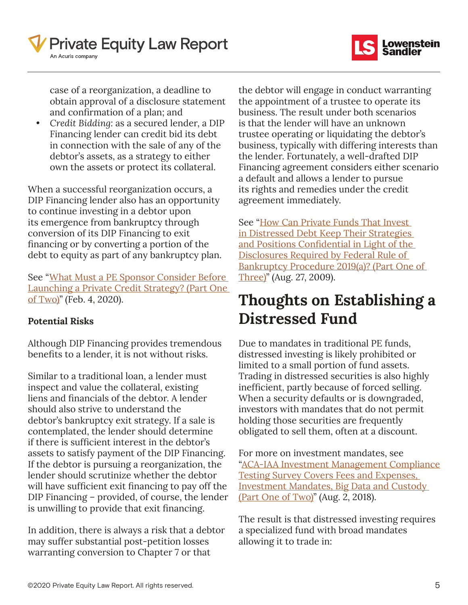



case of a reorganization, a deadline to obtain approval of a disclosure statement and confirmation of a plan; and

*• Credit Bidding:* as a secured lender, a DIP Financing lender can credit bid its debt in connection with the sale of any of the debtor's assets, as a strategy to either own the assets or protect its collateral.

When a successful reorganization occurs, a DIP Financing lender also has an opportunity to continue investing in a debtor upon its emergence from bankruptcy through conversion of its DIP Financing to exit financing or by converting a portion of the debt to equity as part of any bankruptcy plan.

See ["What Must a PE Sponsor Consider Before](https://www.pelawreport.com/5995632/what-must-a-pe-sponsor-consider-before-launching-a-private-credit-strategy-part-one-of-two.thtml)  [Launching a Private Credit Strategy? \(Part One](https://www.pelawreport.com/5995632/what-must-a-pe-sponsor-consider-before-launching-a-private-credit-strategy-part-one-of-two.thtml)   $of Two"$  (Feb. 4, 2020).

#### **Potential Risks**

Although DIP Financing provides tremendous benefits to a lender, it is not without risks.

Similar to a traditional loan, a lender must inspect and value the collateral, existing liens and financials of the debtor. A lender should also strive to understand the debtor's bankruptcy exit strategy. If a sale is contemplated, the lender should determine if there is sufficient interest in the debtor's assets to satisfy payment of the DIP Financing. If the debtor is pursuing a reorganization, the lender should scrutinize whether the debtor will have sufficient exit financing to pay off the DIP Financing – provided, of course, the lender is unwilling to provide that exit financing.

In addition, there is always a risk that a debtor may suffer substantial post-petition losses warranting conversion to Chapter 7 or that

the debtor will engage in conduct warranting the appointment of a trustee to operate its business. The result under both scenarios is that the lender will have an unknown trustee operating or liquidating the debtor's business, typically with differing interests than the lender. Fortunately, a well-drafted DIP Financing agreement considers either scenario a default and allows a lender to pursue its rights and remedies under the credit agreement immediately.

See "How Can Private Funds That Invest [in Distressed Debt Keep Their Strategies](https://www.pelawreport.com/2684066/how-can-hedge-funds-that-invest-in-distressed-debt-keep-their-strategies-and-positions-confidential-in-light-of-the-disclosures-required-by-federal-rule-of-bankruptcy-procedure-2019a-part-one-of-three.thtml)  [and Positions Confidential in Light of the](https://www.pelawreport.com/2684066/how-can-hedge-funds-that-invest-in-distressed-debt-keep-their-strategies-and-positions-confidential-in-light-of-the-disclosures-required-by-federal-rule-of-bankruptcy-procedure-2019a-part-one-of-three.thtml)  [Disclosures Required by Federal Rule of](https://www.pelawreport.com/2684066/how-can-hedge-funds-that-invest-in-distressed-debt-keep-their-strategies-and-positions-confidential-in-light-of-the-disclosures-required-by-federal-rule-of-bankruptcy-procedure-2019a-part-one-of-three.thtml)  [Bankruptcy Procedure 2019\(a\)? \(Part One of](https://www.pelawreport.com/2684066/how-can-hedge-funds-that-invest-in-distressed-debt-keep-their-strategies-and-positions-confidential-in-light-of-the-disclosures-required-by-federal-rule-of-bankruptcy-procedure-2019a-part-one-of-three.thtml)  [Three\)](https://www.pelawreport.com/2684066/how-can-hedge-funds-that-invest-in-distressed-debt-keep-their-strategies-and-positions-confidential-in-light-of-the-disclosures-required-by-federal-rule-of-bankruptcy-procedure-2019a-part-one-of-three.thtml)" (Aug. 27, 2009).

## **Thoughts on Establishing a Distressed Fund**

Due to mandates in traditional PE funds, distressed investing is likely prohibited or limited to a small portion of fund assets. Trading in distressed securities is also highly inefficient, partly because of forced selling. When a security defaults or is downgraded, investors with mandates that do not permit holding those securities are frequently obligated to sell them, often at a discount.

For more on investment mandates, see "[ACA‑IAA Investment Management Compliance](https://www.pelawreport.com/2677281/aca-iaa-investment-management-compliance-testing-survey-covers-fees-and-expenses-investment-mandates-big-data-and-custody-part-one-of-two.thtml)  [Testing Survey Covers Fees and Expenses,](https://www.pelawreport.com/2677281/aca-iaa-investment-management-compliance-testing-survey-covers-fees-and-expenses-investment-mandates-big-data-and-custody-part-one-of-two.thtml)  [Investment Mandates, Big Data and Custody](https://www.pelawreport.com/2677281/aca-iaa-investment-management-compliance-testing-survey-covers-fees-and-expenses-investment-mandates-big-data-and-custody-part-one-of-two.thtml)  [\(Part One of Two\)](https://www.pelawreport.com/2677281/aca-iaa-investment-management-compliance-testing-survey-covers-fees-and-expenses-investment-mandates-big-data-and-custody-part-one-of-two.thtml)" (Aug. 2, 2018).

The result is that distressed investing requires a specialized fund with broad mandates allowing it to trade in: